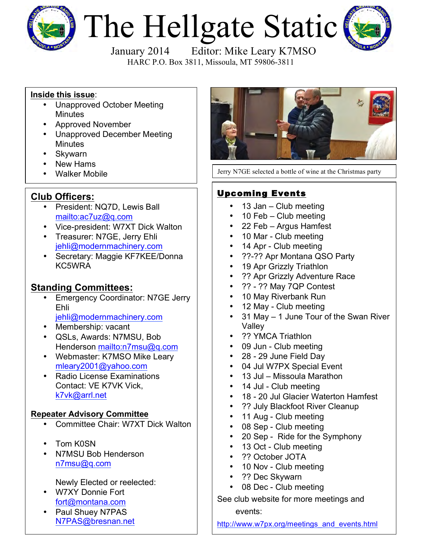

# The Hellgate Static



HARC P.O. Box 3811, Missoula, MT 59806-3811

## **Inside this issue**:

- Unapproved October Meeting **Minutes**
- Approved November
- Unapproved December Meeting **Minutes**
- Skywarn
- 
- New Hams<br>• Walker Mobile

## **Club Officers:**

- President: NQ7D, Lewis Ball mailto:ac7uz@q.com
- Vice-president: W7XT Dick Walton
- Treasurer: N7GE, Jerry Ehli jehli@modernmachinery.com
- Secretary: Maggie KF7KEE/Donna KC5WRA

# **Standing Committees:**

- Emergency Coordinator: N7GE Jerry Ehli
	- jehli@modernmachinery.com
- Membership: vacant
- QSLs, Awards: N7MSU, Bob Henderson mailto:n7msu@q.com
- Webmaster: K7MSO Mike Leary mleary2001@yahoo.com
- Radio License Examinations Contact: VE K7VK Vick, k7vk@arrl.net

## **Repeater Advisory Committee**

- Committee Chair: W7XT Dick Walton
- Tom K0SN
- N7MSU Bob Henderson n7msu@q.com

Newly Elected or reelected:

- W7XY Donnie Fort fort@montana.com
- Paul Shuey N7PAS N7PAS@bresnan.net



Jerry N7GE selected a bottle of wine at the Christmas party

## Upcoming Events

- 13 Jan Club meeting
- 10 Feb Club meeting
- 22 Feb Argus Hamfest
- 10 Mar Club meeting
- 14 Apr Club meeting
- ??-?? Apr Montana QSO Party
- 19 Apr Grizzly Triathlon
- ?? Apr Grizzly Adventure Race
- ?? ?? May 7QP Contest
- 10 May Riverbank Run
- 12 May Club meeting
- 31 May 1 June Tour of the Swan River Valley
- ?? YMCA Triathlon
- 09 Jun Club meeting
- 28 29 June Field Day
- 04 Jul W7PX Special Event
- 13 Jul Missoula Marathon
- 14 Jul Club meeting
- 18 20 Jul Glacier Waterton Hamfest
- ?? July Blackfoot River Cleanup
- 11 Aug Club meeting
- 08 Sep Club meeting
- 20 Sep Ride for the Symphony
- 13 Oct Club meeting
- ?? October JOTA
- 10 Nov Club meeting
- ?? Dec Skywarn
- 08 Dec Club meeting

See club website for more meetings and events:

http://www.w7px.org/meetings\_and\_events.html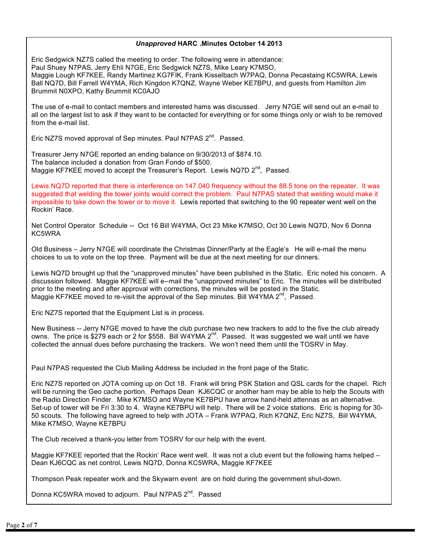#### *Unapproved* **HARC .Minutes October 14 2013**

Eric Sedgwick NZ7S called the meeting to order. The following were in attendance: Paul Shuey N7PAS, Jerry Ehli N7GE, Eric Sedgwick NZ7S, Mike Leary K7MSO, Maggie Lough KF7KEE, Randy Martinez KG7FIK, Frank Kisselbach W7PAQ, Donna Pecastaing KC5WRA, Lewis Ball NQ7D, Bill Farrell W4YMA, Rich Kingdon K7QNZ, Wayne Weber KE7BPU, and guests from Hamilton Jim Brummit N0XPO, Kathy Brummit KC0AJO

The use of e-mail to contact members and interested hams was discussed. Jerry N7GE will send out an e-mail to all on the largest list to ask if they want to be contacted for everything or for some things only or wish to be removed from the e-mail list.

Eric NZ7S moved approval of Sep minutes. Paul N7PAS 2<sup>nd</sup>. Passed.

Treasurer Jerry N7GE reported an ending balance on 9/30/2013 of \$874.10. The balance included a donation from Gran Fondo of \$500. Maggie KF7KEE moved to accept the Treasurer's Report. Lewis NQ7D 2<sup>nd</sup>, Passed.

Lewis NQ7D reported that there is interference on 147.040 frequency without the 88.5 tone on the repeater. It was suggested that welding the tower joints would correct the problem. Paul N7PAS stated that welding would make it impossible to take down the tower or to move it. Lewis reported that switching to the 90 repeater went well on the Rockin' Race.

Net Control Operator Schedule -- Oct 16 Bill W4YMA, Oct 23 Mike K7MSO, Oct 30 Lewis NQ7D, Nov 6 Donna KC5WRA

Old Business – Jerry N7GE will coordinate the Christmas Dinner/Party at the Eagle's He will e-mail the menu choices to us to vote on the top three. Payment will be due at the next meeting for our dinners.

Lewis NQ7D brought up that the "unapproved minutes" have been published in the Static. Eric noted his concern. A discussion followed. Maggie KF7KEE will e--mail the "unapproved minutes" to Eric. The minutes will be distributed prior to the meeting and after approval with corrections, the minutes will be posted in the Static. Maggie KF7KEE moved to re-visit the approval of the Sep minutes. Bill W4YMA  $2^{nd}$ , Passed.

Eric NZ7S reported that the Equipment List is in process.

New Business -- Jerry N7GE moved to have the club purchase two new trackers to add to the five the club already owns. The price is \$279 each or 2 for \$558. Bill W4YMA 2<sup>nd</sup>. Passed. It was suggested we wait until we have collected the annual dues before purchasing the trackers. We won't need them until the TOSRV in May.

Paul N7PAS requested the Club Mailing Address be included in the front page of the Static.

Eric NZ7S reported on JOTA coming up on Oct 18. Frank will bring PSK Station and QSL cards for the chapel. Rich will be running the Geo cache portion. Perhaps Dean KJ6CQC or another ham may be able to help the Scouts with the Radio Direction Finder. Mike K7MSO and Wayne KE7BPU have arrow hand-held attennas as an alternative. Set-up of tower will be Fri 3:30 to 4. Wayne KE7BPU will help. There will be 2 voice stations. Eric is hoping for 30- 50 scouts. The following have agreed to help with JOTA – Frank W7PAQ, Rich K7QNZ, Eric NZ7S, Bill W4YMA, Mike K7MSO, Wayne KE7BPU

The Club received a thank-you letter from TOSRV for our help with the event.

Maggie KF7KEE reported that the Rockin' Race went well. It was not a club event but the following hams helped – Dean KJ6CQC as net control, Lewis NQ7D, Donna KC5WRA, Maggie KF7KEE

Thompson Peak repeater work and the Skywarn event are on hold during the government shut-down.

Donna KC5WRA moved to adjourn. Paul N7PAS 2<sup>nd</sup>. Passed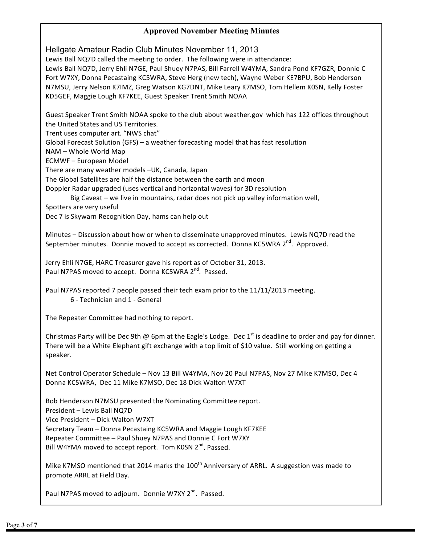### **Approved November Meeting Minutes**

Hellgate Amateur Radio Club Minutes November 11, 2013

Lewis Ball NQ7D called the meeting to order. The following were in attendance: Lewis Ball NQ7D, Jerry Ehli N7GE, Paul Shuey N7PAS, Bill Farrell W4YMA, Sandra Pond KF7GZR, Donnie C Fort W7XY, Donna Pecastaing KC5WRA, Steve Herg (new tech), Wayne Weber KE7BPU, Bob Henderson N7MSU, Jerry Nelson K7IMZ, Greg Watson KG7DNT, Mike Leary K7MSO, Tom Hellem K0SN, Kelly Foster KD5GEF, Maggie Lough KF7KEE, Guest Speaker Trent Smith NOAA

Guest Speaker Trent Smith NOAA spoke to the club about weather.gov which has 122 offices throughout the United States and US Territories.

Trent uses computer art. "NWS chat"

Global Forecast Solution (GFS) – a weather forecasting model that has fast resolution

NAM - Whole World Map

ECMWF – European Model

There are many weather models -UK, Canada, Japan

The Global Satellites are half the distance between the earth and moon

Doppler Radar upgraded (uses vertical and horizontal waves) for 3D resolution

Big Caveat – we live in mountains, radar does not pick up valley information well,

Spotters are very useful

Dec 7 is Skywarn Recognition Day, hams can help out

Minutes - Discussion about how or when to disseminate unapproved minutes. Lewis NQ7D read the September minutes. Donnie moved to accept as corrected. Donna KC5WRA  $2^{nd}$ . Approved.

Jerry Ehli N7GE, HARC Treasurer gave his report as of October 31, 2013. Paul N7PAS moved to accept. Donna KC5WRA 2<sup>nd</sup>. Passed.

Paul N7PAS reported 7 people passed their tech exam prior to the 11/11/2013 meeting. 6 - Technician and 1 - General

The Repeater Committee had nothing to report.

Christmas Party will be Dec 9th @ 6pm at the Eagle's Lodge. Dec 1st is deadline to order and pay for dinner. There will be a White Elephant gift exchange with a top limit of \$10 value. Still working on getting a speaker.

Net Control Operator Schedule - Nov 13 Bill W4YMA, Nov 20 Paul N7PAS, Nov 27 Mike K7MSO, Dec 4 Donna KC5WRA, Dec 11 Mike K7MSO, Dec 18 Dick Walton W7XT

Bob Henderson N7MSU presented the Nominating Committee report.

President – Lewis Ball NQ7D

Vice President - Dick Walton W7XT

Secretary Team - Donna Pecastaing KC5WRA and Maggie Lough KF7KEE

Repeater Committee - Paul Shuey N7PAS and Donnie C Fort W7XY

Bill W4YMA moved to accept report. Tom K0SN 2<sup>nd</sup>. Passed.

Mike K7MSO mentioned that 2014 marks the 100<sup>th</sup> Anniversary of ARRL. A suggestion was made to promote ARRL at Field Day.

Paul N7PAS moved to adjourn. Donnie W7XY 2<sup>nd</sup>. Passed.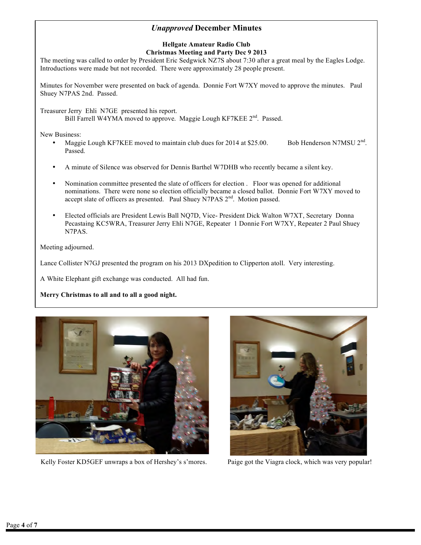#### *Unapproved* **December Minutes**

#### **Hellgate Amateur Radio Club Christmas Meeting and Party Dec 9 2013**

The meeting was called to order by President Eric Sedgwick NZ7S about 7:30 after a great meal by the Eagles Lodge. Introductions were made but not recorded. There were approximately 28 people present.

Minutes for November were presented on back of agenda. Donnie Fort W7XY moved to approve the minutes. Paul Shuey N7PAS 2nd. Passed.

Treasurer Jerry Ehli N7GE presented his report. Bill Farrell W4YMA moved to approve. Maggie Lough KF7KEE 2<sup>nd</sup>. Passed.

New Business:

- Maggie Lough KF7KEE moved to maintain club dues for 2014 at \$25.00. Bob Henderson N7MSU 2<sup>nd</sup>. Passed.
- A minute of Silence was observed for Dennis Barthel W7DHB who recently became a silent key.
- Nomination committee presented the slate of officers for election . Floor was opened for additional nominations. There were none so election officially became a closed ballot. Donnie Fort W7XY moved to accept slate of officers as presented. Paul Shuey N7PAS 2<sup>nd</sup>. Motion passed.
- Elected officials are President Lewis Ball NQ7D, Vice- President Dick Walton W7XT, Secretary Donna Pecastaing KC5WRA, Treasurer Jerry Ehli N7GE, Repeater 1 Donnie Fort W7XY, Repeater 2 Paul Shuey N7PAS.

Meeting adjourned.

Lance Collister N7GJ presented the program on his 2013 DXpedition to Clipperton atoll. Very interesting.

A White Elephant gift exchange was conducted. All had fun.

**Merry Christmas to all and to all a good night.**



Kelly Foster KD5GEF unwraps a box of Hershey's s'mores. Paige got the Viagra clock, which was very popular!

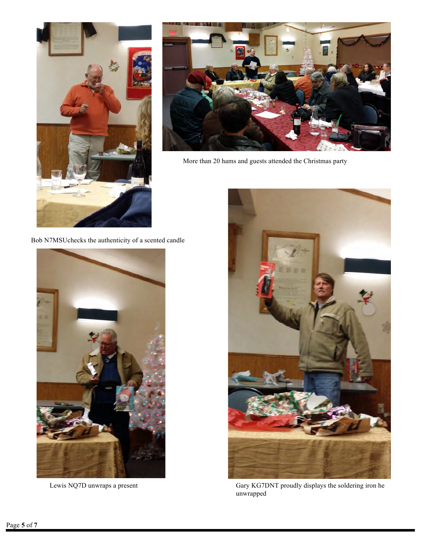



More than 20 hams and guests attended the Christmas party

Bob N7MSUchecks the authenticity of a scented candle





Lewis NQ7D unwraps a present Gary KG7DNT proudly displays the soldering iron he unwrapped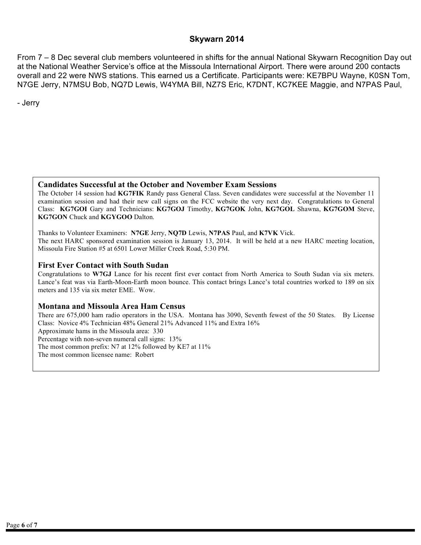#### **Skywarn 2014**

From 7 – 8 Dec several club members volunteered in shifts for the annual National Skywarn Recognition Day out at the National Weather Service's office at the Missoula International Airport. There were around 200 contacts overall and 22 were NWS stations. This earned us a Certificate. Participants were: KE7BPU Wayne, K0SN Tom, N7GE Jerry, N7MSU Bob, NQ7D Lewis, W4YMA Bill, NZ7S Eric, K7DNT, KC7KEE Maggie, and N7PAS Paul,

- Jerry

#### **Candidates Successful at the October and November Exam Sessions**

The October 14 session had **KG7FIK** Randy pass General Class. Seven candidates were successful at the November 11 examination session and had their new call signs on the FCC website the very next day. Congratulations to General Class: **KG7GOI** Gary and Technicians: **KG7GOJ** Timothy, **KG7GOK** John, **KG7GOL** Shawna, **KG7GOM** Steve, **KG7GON** Chuck and **KGYGOO** Dalton.

Thanks to Volunteer Examiners: **N7GE** Jerry, **NQ7D** Lewis, **N7PAS** Paul, and **K7VK** Vick. The next HARC sponsored examination session is January 13, 2014. It will be held at a new HARC meeting location, Missoula Fire Station #5 at 6501 Lower Miller Creek Road, 5:30 PM.

#### **First Ever Contact with South Sudan**

Congratulations to **W7GJ** Lance for his recent first ever contact from North America to South Sudan via six meters. Lance's feat was via Earth-Moon-Earth moon bounce. This contact brings Lance's total countries worked to 189 on six meters and 135 via six meter EME. Wow.

#### **Montana and Missoula Area Ham Census**

There are 675,000 ham radio operators in the USA. Montana has 3090, Seventh fewest of the 50 States. By License Class: Novice 4% Technician 48% General 21% Advanced 11% and Extra 16% Approximate hams in the Missoula area: 330 Percentage with non-seven numeral call signs: 13% The most common prefix: N7 at 12% followed by KE7 at 11% The most common licensee name: Robert